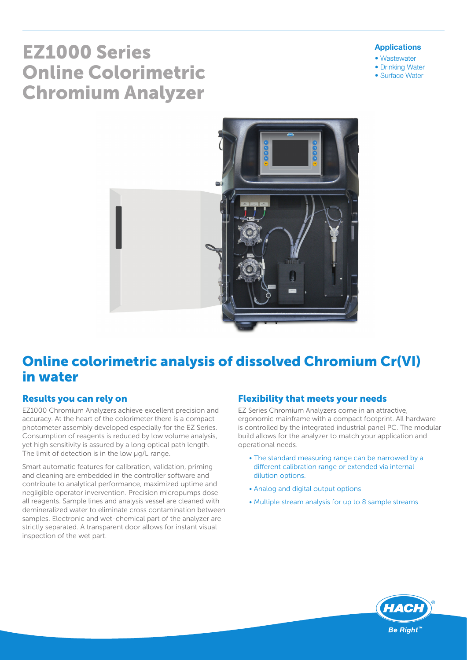# EZ1000 Series Online Colorimetric Chromium Analyzer

#### Applications

- Wastewater
- Drinking Water
- Surface Water



## Online colorimetric analysis of dissolved Chromium Cr(VI) in water

#### Results you can rely on

EZ1000 Chromium Analyzers achieve excellent precision and accuracy. At the heart of the colorimeter there is a compact photometer assembly developed especially for the EZ Series. Consumption of reagents is reduced by low volume analysis, yet high sensitivity is assured by a long optical path length. The limit of detection is in the low  $\mu$ g/L range.

Smart automatic features for calibration, validation, priming and cleaning are embedded in the controller software and contribute to analytical performance, maximized uptime and negligible operator invervention. Precision micropumps dose all reagents. Sample lines and analysis vessel are cleaned with demineralized water to eliminate cross contamination between samples. Electronic and wet-chemical part of the analyzer are strictly separated. A transparent door allows for instant visual inspection of the wet part.

#### Flexibility that meets your needs

EZ Series Chromium Analyzers come in an attractive, ergonomic mainframe with a compact footprint. All hardware is controlled by the integrated industrial panel PC. The modular build allows for the analyzer to match your application and operational needs.

- The standard measuring range can be narrowed by a different calibration range or extended via internal dilution options.
- Analog and digital output options
- Multiple stream analysis for up to 8 sample streams

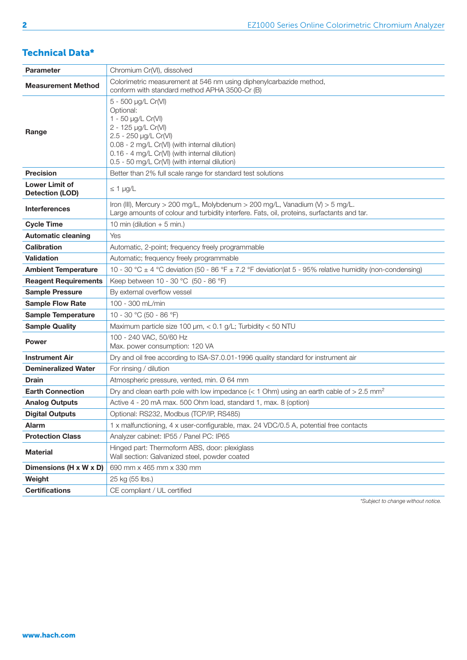#### Technical Data\*

| <b>Parameter</b>                                | Chromium Cr(VI), dissolved                                                                                                                                                                                                                                |
|-------------------------------------------------|-----------------------------------------------------------------------------------------------------------------------------------------------------------------------------------------------------------------------------------------------------------|
| <b>Measurement Method</b>                       | Colorimetric measurement at 546 nm using diphenylcarbazide method,<br>conform with standard method APHA 3500-Cr (B)                                                                                                                                       |
| Range                                           | 5 - 500 µg/L Cr(VI)<br>Optional:<br>1 - 50 µg/L Cr(VI)<br>2 - 125 µg/L Cr(VI)<br>2.5 - 250 µg/L Cr(VI)<br>0.08 - 2 mg/L Cr(VI) (with internal dilution)<br>0.16 - 4 mg/L Cr(VI) (with internal dilution)<br>0.5 - 50 mg/L Cr(VI) (with internal dilution) |
| <b>Precision</b>                                | Better than 2% full scale range for standard test solutions                                                                                                                                                                                               |
| <b>Lower Limit of</b><br><b>Detection (LOD)</b> | $\leq 1$ µg/L                                                                                                                                                                                                                                             |
| <b>Interferences</b>                            | Iron (III), Mercury > 200 mg/L, Molybdenum > 200 mg/L, Vanadium (V) > 5 mg/L.<br>Large amounts of colour and turbidity interfere. Fats, oil, proteins, surfactants and tar.                                                                               |
| <b>Cycle Time</b>                               | 10 min (dilution $+5$ min.)                                                                                                                                                                                                                               |
| <b>Automatic cleaning</b>                       | Yes                                                                                                                                                                                                                                                       |
| <b>Calibration</b>                              | Automatic, 2-point; frequency freely programmable                                                                                                                                                                                                         |
| <b>Validation</b>                               | Automatic; frequency freely programmable                                                                                                                                                                                                                  |
| <b>Ambient Temperature</b>                      | 10 - 30 °C $\pm$ 4 °C deviation (50 - 86 °F $\pm$ 7.2 °F deviation) at 5 - 95% relative humidity (non-condensing)                                                                                                                                         |
| <b>Reagent Requirements</b>                     | Keep between 10 - 30 °C (50 - 86 °F)                                                                                                                                                                                                                      |
| <b>Sample Pressure</b>                          | By external overflow vessel                                                                                                                                                                                                                               |
| <b>Sample Flow Rate</b>                         | 100 - 300 mL/min                                                                                                                                                                                                                                          |
| <b>Sample Temperature</b>                       | 10 - 30 °C (50 - 86 °F)                                                                                                                                                                                                                                   |
| <b>Sample Quality</b>                           | Maximum particle size 100 $\mu$ m, < 0.1 g/L; Turbidity < 50 NTU                                                                                                                                                                                          |
| <b>Power</b>                                    | 100 - 240 VAC, 50/60 Hz<br>Max. power consumption: 120 VA                                                                                                                                                                                                 |
| <b>Instrument Air</b>                           | Dry and oil free according to ISA-S7.0.01-1996 quality standard for instrument air                                                                                                                                                                        |
| <b>Demineralized Water</b>                      | For rinsing / dilution                                                                                                                                                                                                                                    |
| <b>Drain</b>                                    | Atmospheric pressure, vented, min. Ø 64 mm                                                                                                                                                                                                                |
| <b>Earth Connection</b>                         | Dry and clean earth pole with low impedance ( $<$ 1 Ohm) using an earth cable of $>$ 2.5 mm <sup>2</sup>                                                                                                                                                  |
| <b>Analog Outputs</b>                           | Active 4 - 20 mA max. 500 Ohm load, standard 1, max. 8 (option)                                                                                                                                                                                           |
| <b>Digital Outputs</b>                          | Optional: RS232, Modbus (TCP/IP, RS485)                                                                                                                                                                                                                   |
| <b>Alarm</b>                                    | 1 x malfunctioning, 4 x user-configurable, max. 24 VDC/0.5 A, potential free contacts                                                                                                                                                                     |
| <b>Protection Class</b>                         | Analyzer cabinet: IP55 / Panel PC: IP65                                                                                                                                                                                                                   |
| <b>Material</b>                                 | Hinged part: Thermoform ABS, door: plexiglass<br>Wall section: Galvanized steel, powder coated                                                                                                                                                            |
| Dimensions (H x W x D)                          | 690 mm x 465 mm x 330 mm                                                                                                                                                                                                                                  |
| Weight                                          | 25 kg (55 lbs.)                                                                                                                                                                                                                                           |
| <b>Certifications</b>                           | CE compliant / UL certified                                                                                                                                                                                                                               |

*\*Subject to change without notice.*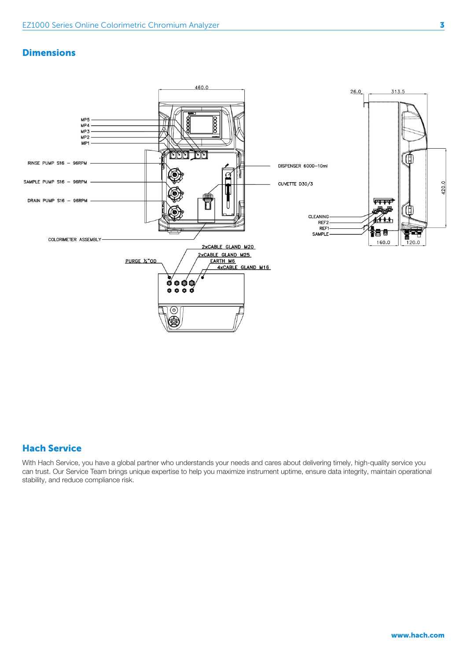#### **Dimensions**



#### Hach Service

With Hach Service, you have a global partner who understands your needs and cares about delivering timely, high-quality service you can trust. Our Service Team brings unique expertise to help you maximize instrument uptime, ensure data integrity, maintain operational stability, and reduce compliance risk.